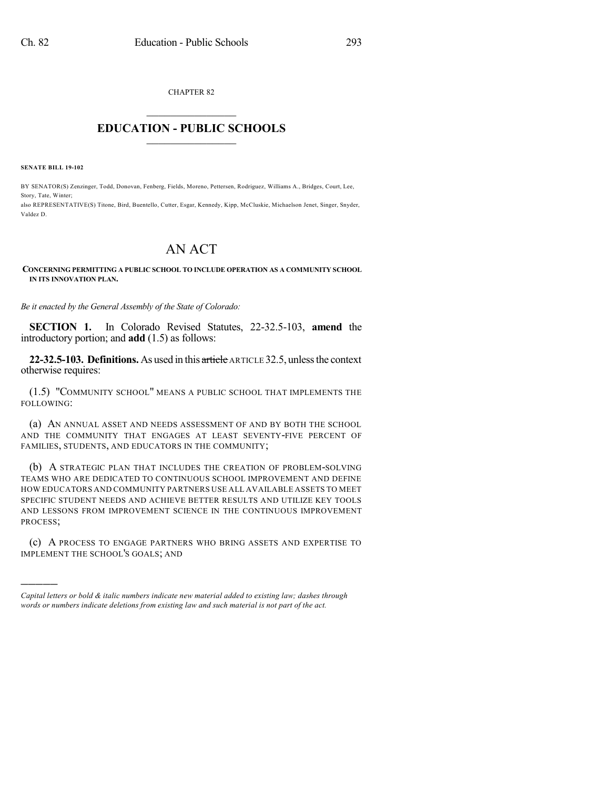CHAPTER 82

## $\overline{\phantom{a}}$  . The set of the set of the set of the set of the set of the set of the set of the set of the set of the set of the set of the set of the set of the set of the set of the set of the set of the set of the set o **EDUCATION - PUBLIC SCHOOLS**  $\_$   $\_$   $\_$   $\_$   $\_$   $\_$   $\_$   $\_$   $\_$

**SENATE BILL 19-102**

)))))

BY SENATOR(S) Zenzinger, Todd, Donovan, Fenberg, Fields, Moreno, Pettersen, Rodriguez, Williams A., Bridges, Court, Lee, Story, Tate, Winter; also REPRESENTATIVE(S) Titone, Bird, Buentello, Cutter, Esgar, Kennedy, Kipp, McCluskie, Michaelson Jenet, Singer, Snyder, Valdez D.

## AN ACT

## **CONCERNING PERMITTING A PUBLIC SCHOOL TO INCLUDE OPERATION AS A COMMUNITY SCHOOL IN ITS INNOVATION PLAN.**

*Be it enacted by the General Assembly of the State of Colorado:*

**SECTION 1.** In Colorado Revised Statutes, 22-32.5-103, **amend** the introductory portion; and **add** (1.5) as follows:

**22-32.5-103. Definitions.** As used in this article ARTICLE 32.5, unlessthe context otherwise requires:

(1.5) "COMMUNITY SCHOOL" MEANS A PUBLIC SCHOOL THAT IMPLEMENTS THE FOLLOWING:

(a) AN ANNUAL ASSET AND NEEDS ASSESSMENT OF AND BY BOTH THE SCHOOL AND THE COMMUNITY THAT ENGAGES AT LEAST SEVENTY-FIVE PERCENT OF FAMILIES, STUDENTS, AND EDUCATORS IN THE COMMUNITY;

(b) A STRATEGIC PLAN THAT INCLUDES THE CREATION OF PROBLEM-SOLVING TEAMS WHO ARE DEDICATED TO CONTINUOUS SCHOOL IMPROVEMENT AND DEFINE HOW EDUCATORS AND COMMUNITY PARTNERS USE ALL AVAILABLE ASSETS TO MEET SPECIFIC STUDENT NEEDS AND ACHIEVE BETTER RESULTS AND UTILIZE KEY TOOLS AND LESSONS FROM IMPROVEMENT SCIENCE IN THE CONTINUOUS IMPROVEMENT PROCESS;

(c) A PROCESS TO ENGAGE PARTNERS WHO BRING ASSETS AND EXPERTISE TO IMPLEMENT THE SCHOOL'S GOALS; AND

*Capital letters or bold & italic numbers indicate new material added to existing law; dashes through words or numbers indicate deletions from existing law and such material is not part of the act.*